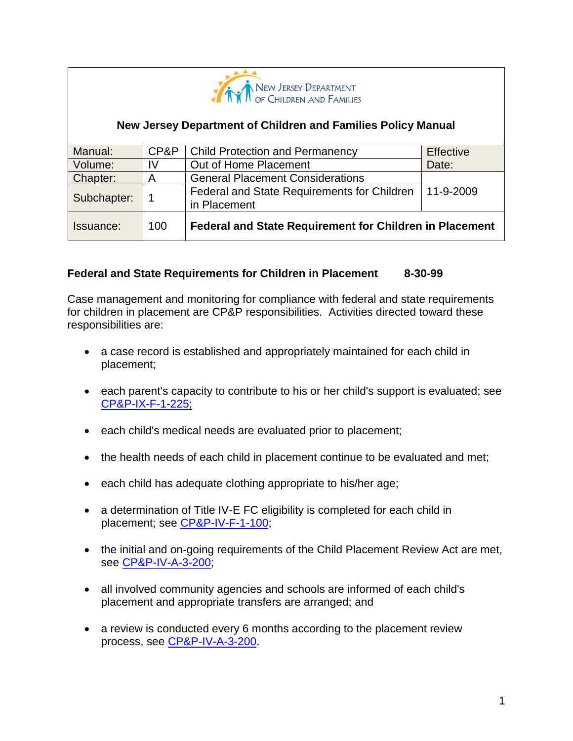

### **New Jersey Department of Children and Families Policy Manual**

| Manual:     | CP&P | <b>Child Protection and Permanency</b>                         | <b>Effective</b> |
|-------------|------|----------------------------------------------------------------|------------------|
| Volume:     | IV   | Out of Home Placement                                          | Date:            |
| Chapter:    | A    | <b>General Placement Considerations</b>                        |                  |
| Subchapter: |      | Federal and State Requirements for Children<br>in Placement    | 11-9-2009        |
| Issuance:   | 100  | <b>Federal and State Requirement for Children in Placement</b> |                  |

### **Federal and State Requirements for Children in Placement 8-30-99**

Case management and monitoring for compliance with federal and state requirements for children in placement are CP&P responsibilities. Activities directed toward these responsibilities are:

- a case record is established and appropriately maintained for each child in placement;
- each parent's capacity to contribute to his or her child's support is evaluated; see [CP&P-IX-F-1-225;](CPP-IX-F-1-225_issuance.shtml)
- each child's medical needs are evaluated prior to placement;
- the health needs of each child in placement continue to be evaluated and met;
- each child has adequate clothing appropriate to his/her age;
- a determination of Title IV-E FC eligibility is completed for each child in placement; see [CP&P-IV-F-1-100;](CPP-IV-F-1-100_issuance.shtml)
- the initial and on-going requirements of the Child Placement Review Act are met, see [CP&P-IV-A-3-200;](CPP-IV-A-3-200_issuance.shtml)
- all involved community agencies and schools are informed of each child's placement and appropriate transfers are arranged; and
- a review is conducted every 6 months according to the placement review process, see [CP&P-IV-A-3-200.](CPP-IV-A-3-200_issuance.shtml)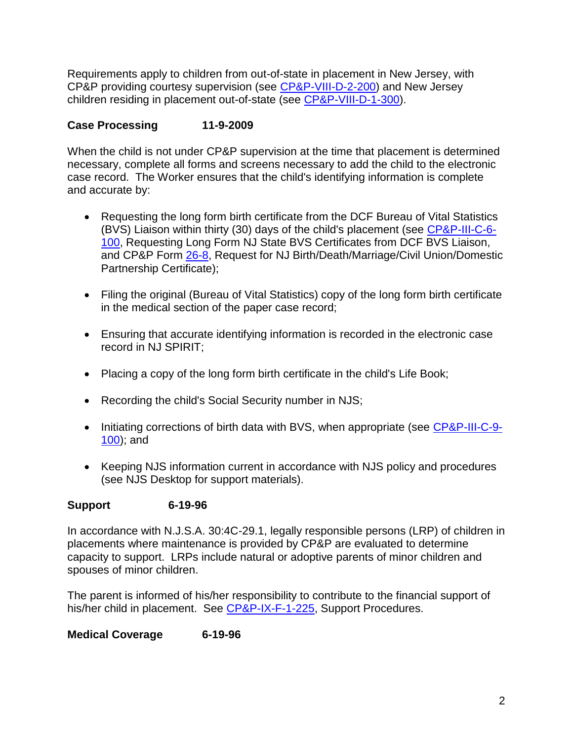Requirements apply to children from out-of-state in placement in New Jersey, with CP&P providing courtesy supervision (see [CP&P-VIII-D-2-200\)](CPP-VIII-D-2-200_issuance.shtml) and New Jersey children residing in placement out-of-state (see [CP&P-VIII-D-1-300\)](CPP-VIII-D-1-300_issuance.shtml).

# **Case Processing 11-9-2009**

When the child is not under CP&P supervision at the time that placement is determined necessary, complete all forms and screens necessary to add the child to the electronic case record. The Worker ensures that the child's identifying information is complete and accurate by:

- Requesting the long form birth certificate from the DCF Bureau of Vital Statistics (BVS) Liaison within thirty (30) days of the child's placement (see [CP&P-III-C-6-](CPP-III-C-6-100_issuance.shtml) [100,](CPP-III-C-6-100_issuance.shtml) Requesting Long Form NJ State BVS Certificates from DCF BVS Liaison, and CP&P Form [26-8,](CPP-X-A-1-26.8_issuance.shtml) Request for NJ Birth/Death/Marriage/Civil Union/Domestic Partnership Certificate);
- Filing the original (Bureau of Vital Statistics) copy of the long form birth certificate in the medical section of the paper case record;
- Ensuring that accurate identifying information is recorded in the electronic case record in NJ SPIRIT;
- Placing a copy of the long form birth certificate in the child's Life Book;
- Recording the child's Social Security number in NJS;
- Initiating corrections of birth data with BVS, when appropriate (see [CP&P-III-C-9-](CPP-III-C-9-100_issuance.shtml) [100\)](CPP-III-C-9-100_issuance.shtml); and
- Keeping NJS information current in accordance with NJS policy and procedures (see NJS Desktop for support materials).

# **Support 6-19-96**

In accordance with N.J.S.A. 30:4C-29.1, legally responsible persons (LRP) of children in placements where maintenance is provided by CP&P are evaluated to determine capacity to support. LRPs include natural or adoptive parents of minor children and spouses of minor children.

The parent is informed of his/her responsibility to contribute to the financial support of his/her child in placement. See [CP&P-IX-F-1-225,](CPP-IX-F-1-225_issuance.shtml) Support Procedures.

**Medical Coverage 6-19-96**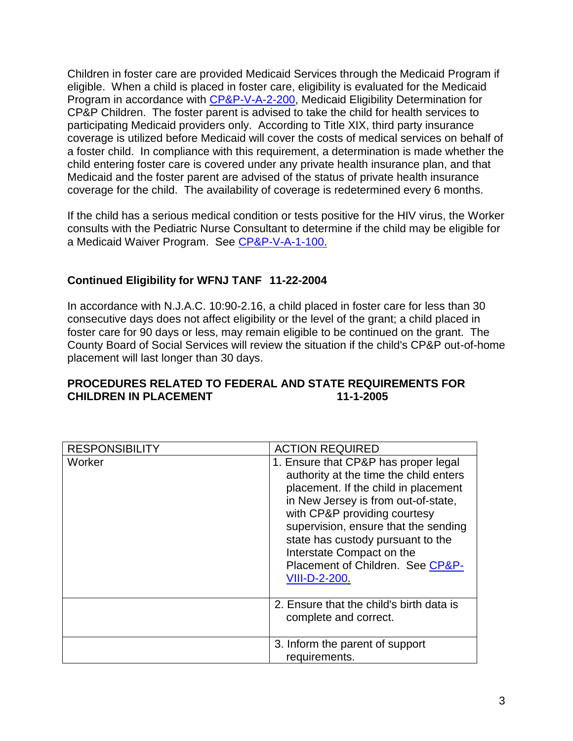Children in foster care are provided Medicaid Services through the Medicaid Program if eligible. When a child is placed in foster care, eligibility is evaluated for the Medicaid Program in accordance with [CP&P-V-A-2-200,](CPP-V-A-2-200_issuance.shtml) Medicaid Eligibility Determination for CP&P Children. The foster parent is advised to take the child for health services to participating Medicaid providers only. According to Title XIX, third party insurance coverage is utilized before Medicaid will cover the costs of medical services on behalf of a foster child. In compliance with this requirement, a determination is made whether the child entering foster care is covered under any private health insurance plan, and that Medicaid and the foster parent are advised of the status of private health insurance coverage for the child. The availability of coverage is redetermined every 6 months.

If the child has a serious medical condition or tests positive for the HIV virus, the Worker consults with the Pediatric Nurse Consultant to determine if the child may be eligible for a Medicaid Waiver Program. See [CP&P-V-A-1-100.](CPP-V-A-1-100_issuance.shtml)

### **Continued Eligibility for WFNJ TANF 11-22-2004**

In accordance with N.J.A.C. 10:90-2.16, a child placed in foster care for less than 30 consecutive days does not affect eligibility or the level of the grant; a child placed in foster care for 90 days or less, may remain eligible to be continued on the grant. The County Board of Social Services will review the situation if the child's CP&P out-of-home placement will last longer than 30 days.

### **PROCEDURES RELATED TO FEDERAL AND STATE REQUIREMENTS FOR CHILDREN IN PLACEMENT 11-1-2005**

| <b>RESPONSIBILITY</b> | <b>ACTION REQUIRED</b>                                                                                                                                                                                                                                                                                                                                              |
|-----------------------|---------------------------------------------------------------------------------------------------------------------------------------------------------------------------------------------------------------------------------------------------------------------------------------------------------------------------------------------------------------------|
| Worker                | 1. Ensure that CP&P has proper legal<br>authority at the time the child enters<br>placement. If the child in placement<br>in New Jersey is from out-of-state,<br>with CP&P providing courtesy<br>supervision, ensure that the sending<br>state has custody pursuant to the<br>Interstate Compact on the<br>Placement of Children. See CP&P-<br><b>VIII-D-2-200.</b> |
|                       | 2. Ensure that the child's birth data is<br>complete and correct.                                                                                                                                                                                                                                                                                                   |
|                       | 3. Inform the parent of support<br>requirements.                                                                                                                                                                                                                                                                                                                    |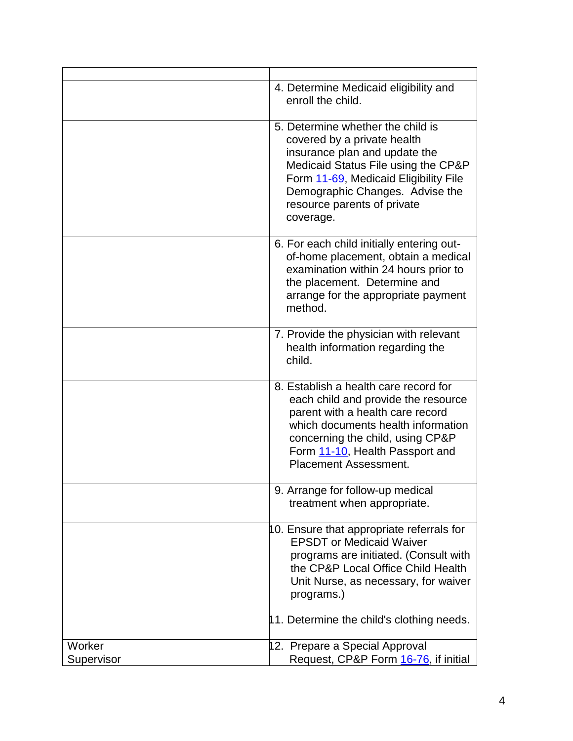|                      | 4. Determine Medicaid eligibility and<br>enroll the child.                                                                                                                                                                                                       |
|----------------------|------------------------------------------------------------------------------------------------------------------------------------------------------------------------------------------------------------------------------------------------------------------|
|                      | 5. Determine whether the child is<br>covered by a private health<br>insurance plan and update the<br>Medicaid Status File using the CP&P<br>Form 11-69, Medicaid Eligibility File<br>Demographic Changes. Advise the<br>resource parents of private<br>coverage. |
|                      | 6. For each child initially entering out-<br>of-home placement, obtain a medical<br>examination within 24 hours prior to<br>the placement. Determine and<br>arrange for the appropriate payment<br>method.                                                       |
|                      | 7. Provide the physician with relevant<br>health information regarding the<br>child.                                                                                                                                                                             |
|                      | 8. Establish a health care record for<br>each child and provide the resource<br>parent with a health care record<br>which documents health information<br>concerning the child, using CP&P<br>Form 11-10, Health Passport and<br><b>Placement Assessment.</b>    |
|                      | 9. Arrange for follow-up medical<br>treatment when appropriate.                                                                                                                                                                                                  |
|                      | 10. Ensure that appropriate referrals for<br><b>EPSDT</b> or Medicaid Waiver<br>programs are initiated. (Consult with<br>the CP&P Local Office Child Health<br>Unit Nurse, as necessary, for waiver<br>programs.)<br>11. Determine the child's clothing needs.   |
| Worker<br>Supervisor | 12. Prepare a Special Approval<br>Request, CP&P Form 16-76, if initial                                                                                                                                                                                           |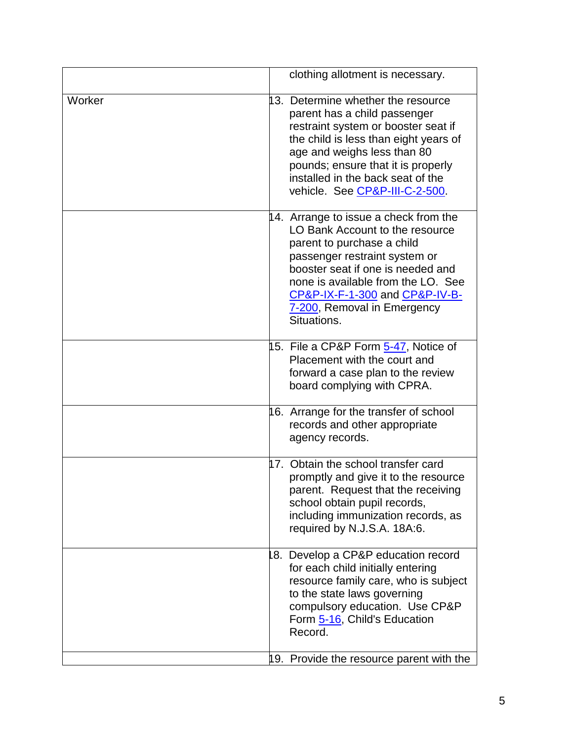|        | clothing allotment is necessary.                                                                                                                                                                                                                                                                   |
|--------|----------------------------------------------------------------------------------------------------------------------------------------------------------------------------------------------------------------------------------------------------------------------------------------------------|
| Worker | 13. Determine whether the resource<br>parent has a child passenger<br>restraint system or booster seat if<br>the child is less than eight years of<br>age and weighs less than 80<br>pounds; ensure that it is properly<br>installed in the back seat of the<br>vehicle. See CP&P-III-C-2-500.     |
|        | 14. Arrange to issue a check from the<br>LO Bank Account to the resource<br>parent to purchase a child<br>passenger restraint system or<br>booster seat if one is needed and<br>none is available from the LO. See<br>CP&P-IX-F-1-300 and CP&P-IV-B-<br>7-200, Removal in Emergency<br>Situations. |
|        | 15. File a CP&P Form 5-47, Notice of<br>Placement with the court and<br>forward a case plan to the review<br>board complying with CPRA.                                                                                                                                                            |
|        | 16. Arrange for the transfer of school<br>records and other appropriate<br>agency records.                                                                                                                                                                                                         |
|        | 17. Obtain the school transfer card<br>promptly and give it to the resource<br>parent. Request that the receiving<br>school obtain pupil records,<br>including immunization records, as<br>required by N.J.S.A. 18A:6.                                                                             |
|        | 8. Develop a CP&P education record<br>for each child initially entering<br>resource family care, who is subject<br>to the state laws governing<br>compulsory education. Use CP&P<br>Form 5-16, Child's Education<br>Record.                                                                        |
|        | 19. Provide the resource parent with the                                                                                                                                                                                                                                                           |